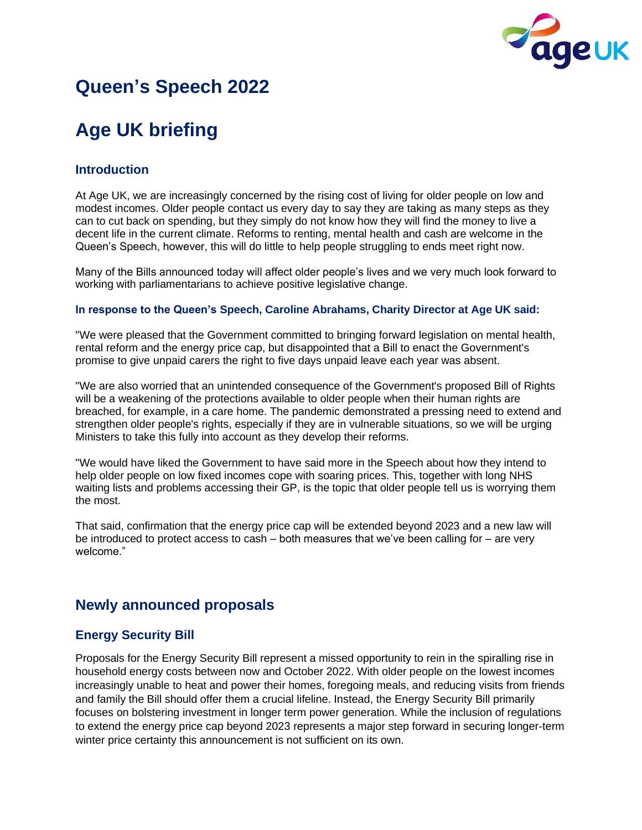

# **Queen's Speech 2022**

# **Age UK briefing**

## **Introduction**

At Age UK, we are increasingly concerned by the rising cost of living for older people on low and modest incomes. Older people contact us every day to say they are taking as many steps as they can to cut back on spending, but they simply do not know how they will find the money to live a decent life in the current climate. Reforms to renting, mental health and cash are welcome in the Queen's Speech, however, this will do little to help people struggling to ends meet right now.

Many of the Bills announced today will affect older people's lives and we very much look forward to working with parliamentarians to achieve positive legislative change.

#### **In response to the Queen's Speech, Caroline Abrahams, Charity Director at Age UK said:**

"We were pleased that the Government committed to bringing forward legislation on mental health, rental reform and the energy price cap, but disappointed that a Bill to enact the Government's promise to give unpaid carers the right to five days unpaid leave each year was absent.

"We are also worried that an unintended consequence of the Government's proposed Bill of Rights will be a weakening of the protections available to older people when their human rights are breached, for example, in a care home. The pandemic demonstrated a pressing need to extend and strengthen older people's rights, especially if they are in vulnerable situations, so we will be urging Ministers to take this fully into account as they develop their reforms.

"We would have liked the Government to have said more in the Speech about how they intend to help older people on low fixed incomes cope with soaring prices. This, together with long NHS waiting lists and problems accessing their GP, is the topic that older people tell us is worrying them the most.

That said, confirmation that the energy price cap will be extended beyond 2023 and a new law will be introduced to protect access to cash – both measures that we've been calling for – are very welcome."

# **Newly announced proposals**

## **Energy Security Bill**

Proposals for the Energy Security Bill represent a missed opportunity to rein in the spiralling rise in household energy costs between now and October 2022. With older people on the lowest incomes increasingly unable to heat and power their homes, foregoing meals, and reducing visits from friends and family the Bill should offer them a crucial lifeline. Instead, the Energy Security Bill primarily focuses on bolstering investment in longer term power generation. While the inclusion of regulations to extend the energy price cap beyond 2023 represents a major step forward in securing longer-term winter price certainty this announcement is not sufficient on its own.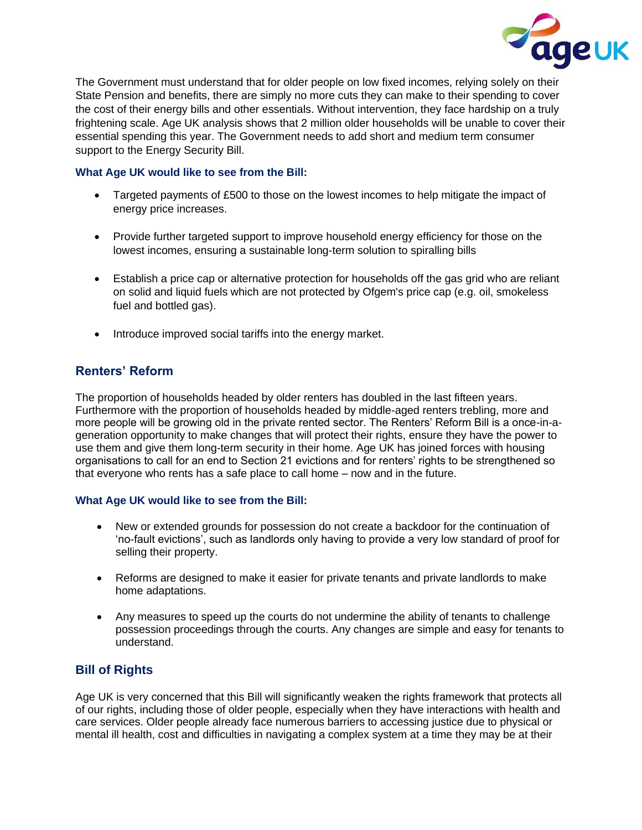

The Government must understand that for older people on low fixed incomes, relying solely on their State Pension and benefits, there are simply no more cuts they can make to their spending to cover the cost of their energy bills and other essentials. Without intervention, they face hardship on a truly frightening scale. Age UK analysis shows that 2 million older households will be unable to cover their essential spending this year. The Government needs to add short and medium term consumer support to the Energy Security Bill.

#### **What Age UK would like to see from the Bill:**

- Targeted payments of £500 to those on the lowest incomes to help mitigate the impact of energy price increases.
- Provide further targeted support to improve household energy efficiency for those on the lowest incomes, ensuring a sustainable long-term solution to spiralling bills
- Establish a price cap or alternative protection for households off the gas grid who are reliant on solid and liquid fuels which are not protected by Ofgem's price cap (e.g. oil, smokeless fuel and bottled gas).
- Introduce improved social tariffs into the energy market.

## **Renters' Reform**

The proportion of households headed by older renters has doubled in the last fifteen years. Furthermore with the proportion of households headed by middle-aged renters trebling, more and more people will be growing old in the private rented sector. The Renters' Reform Bill is a once-in-ageneration opportunity to make changes that will protect their rights, ensure they have the power to use them and give them long-term security in their home. Age UK has joined forces with housing organisations to call for an end to Section 21 evictions and for renters' rights to be strengthened so that everyone who rents has a safe place to call home – now and in the future.

#### **What Age UK would like to see from the Bill:**

- New or extended grounds for possession do not create a backdoor for the continuation of 'no-fault evictions', such as landlords only having to provide a very low standard of proof for selling their property.
- Reforms are designed to make it easier for private tenants and private landlords to make home adaptations.
- Any measures to speed up the courts do not undermine the ability of tenants to challenge possession proceedings through the courts. Any changes are simple and easy for tenants to understand.

## **Bill of Rights**

Age UK is very concerned that this Bill will significantly weaken the rights framework that protects all of our rights, including those of older people, especially when they have interactions with health and care services. Older people already face numerous barriers to accessing justice due to physical or mental ill health, cost and difficulties in navigating a complex system at a time they may be at their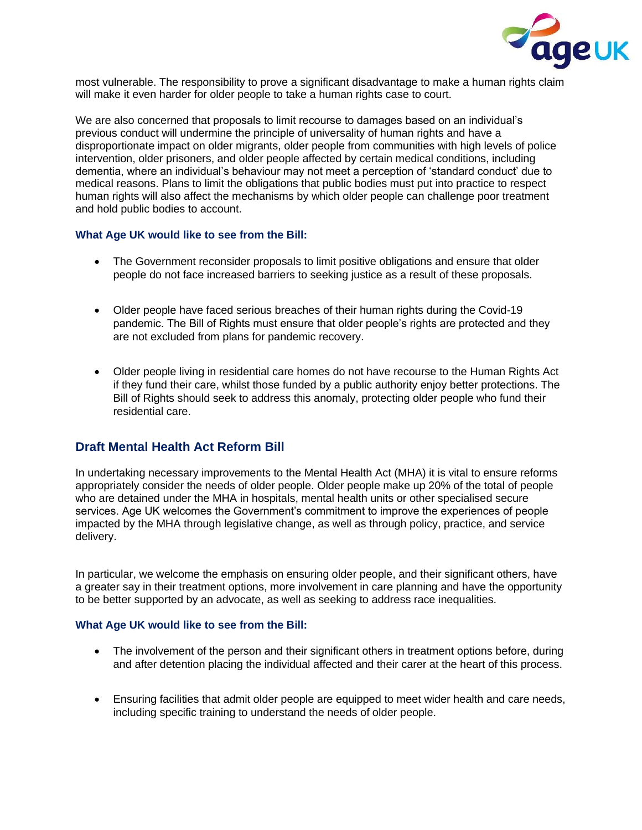

most vulnerable. The responsibility to prove a significant disadvantage to make a human rights claim will make it even harder for older people to take a human rights case to court.

We are also concerned that proposals to limit recourse to damages based on an individual's previous conduct will undermine the principle of universality of human rights and have a disproportionate impact on older migrants, older people from communities with high levels of police intervention, older prisoners, and older people affected by certain medical conditions, including dementia, where an individual's behaviour may not meet a perception of 'standard conduct' due to medical reasons. Plans to limit the obligations that public bodies must put into practice to respect human rights will also affect the mechanisms by which older people can challenge poor treatment and hold public bodies to account.

#### **What Age UK would like to see from the Bill:**

- The Government reconsider proposals to limit positive obligations and ensure that older people do not face increased barriers to seeking justice as a result of these proposals.
- Older people have faced serious breaches of their human rights during the Covid-19 pandemic. The Bill of Rights must ensure that older people's rights are protected and they are not excluded from plans for pandemic recovery.
- Older people living in residential care homes do not have recourse to the Human Rights Act if they fund their care, whilst those funded by a public authority enjoy better protections. The Bill of Rights should seek to address this anomaly, protecting older people who fund their residential care.

### **Draft Mental Health Act Reform Bill**

In undertaking necessary improvements to the Mental Health Act (MHA) it is vital to ensure reforms appropriately consider the needs of older people. Older people make up 20% of the total of people who are detained under the MHA in hospitals, mental health units or other specialised secure services. Age UK welcomes the Government's commitment to improve the experiences of people impacted by the MHA through legislative change, as well as through policy, practice, and service delivery.

In particular, we welcome the emphasis on ensuring older people, and their significant others, have a greater say in their treatment options, more involvement in care planning and have the opportunity to be better supported by an advocate, as well as seeking to address race inequalities.

#### **What Age UK would like to see from the Bill:**

- The involvement of the person and their significant others in treatment options before, during and after detention placing the individual affected and their carer at the heart of this process.
- Ensuring facilities that admit older people are equipped to meet wider health and care needs, including specific training to understand the needs of older people.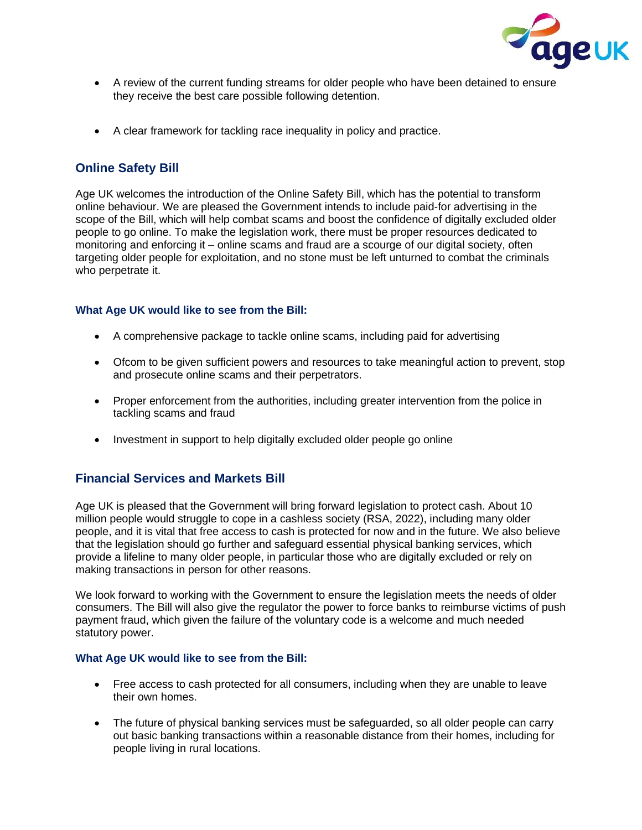

- A review of the current funding streams for older people who have been detained to ensure they receive the best care possible following detention.
- A clear framework for tackling race inequality in policy and practice.

## **Online Safety Bill**

Age UK welcomes the introduction of the Online Safety Bill, which has the potential to transform online behaviour. We are pleased the Government intends to include paid-for advertising in the scope of the Bill, which will help combat scams and boost the confidence of digitally excluded older people to go online. To make the legislation work, there must be proper resources dedicated to monitoring and enforcing it – online scams and fraud are a scourge of our digital society, often targeting older people for exploitation, and no stone must be left unturned to combat the criminals who perpetrate it.

#### **What Age UK would like to see from the Bill:**

- A comprehensive package to tackle online scams, including paid for advertising
- Ofcom to be given sufficient powers and resources to take meaningful action to prevent, stop and prosecute online scams and their perpetrators.
- Proper enforcement from the authorities, including greater intervention from the police in tackling scams and fraud
- Investment in support to help digitally excluded older people go online

## **Financial Services and Markets Bill**

Age UK is pleased that the Government will bring forward legislation to protect cash. About 10 million people would struggle to cope in a cashless society (RSA, 2022), including many older people, and it is vital that free access to cash is protected for now and in the future. We also believe that the legislation should go further and safeguard essential physical banking services, which provide a lifeline to many older people, in particular those who are digitally excluded or rely on making transactions in person for other reasons.

We look forward to working with the Government to ensure the legislation meets the needs of older consumers. The Bill will also give the regulator the power to force banks to reimburse victims of push payment fraud, which given the failure of the voluntary code is a welcome and much needed statutory power.

#### **What Age UK would like to see from the Bill:**

- Free access to cash protected for all consumers, including when they are unable to leave their own homes.
- The future of physical banking services must be safeguarded, so all older people can carry out basic banking transactions within a reasonable distance from their homes, including for people living in rural locations.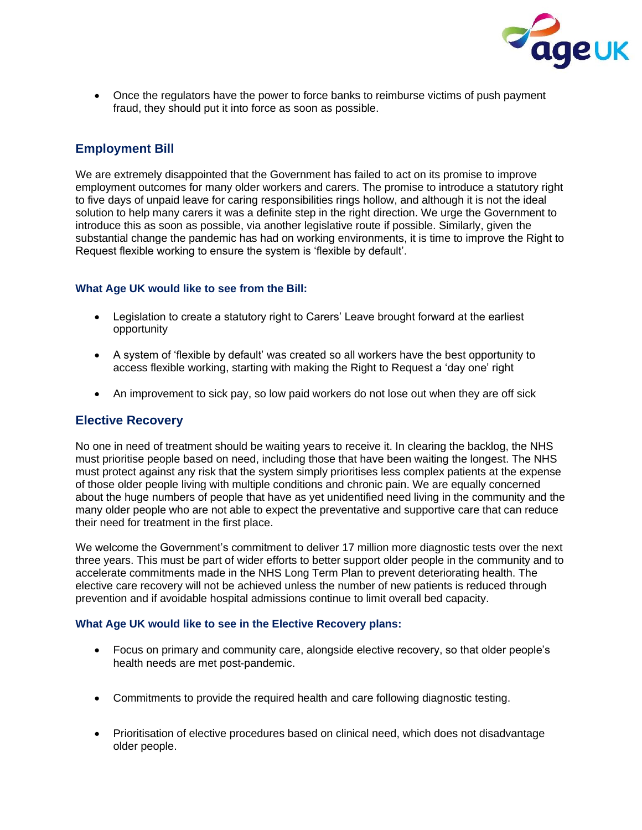

• Once the regulators have the power to force banks to reimburse victims of push payment fraud, they should put it into force as soon as possible.

## **Employment Bill**

We are extremely disappointed that the Government has failed to act on its promise to improve employment outcomes for many older workers and carers. The promise to introduce a statutory right to five days of unpaid leave for caring responsibilities rings hollow, and although it is not the ideal solution to help many carers it was a definite step in the right direction. We urge the Government to introduce this as soon as possible, via another legislative route if possible. Similarly, given the substantial change the pandemic has had on working environments, it is time to improve the Right to Request flexible working to ensure the system is 'flexible by default'.

#### **What Age UK would like to see from the Bill:**

- Legislation to create a statutory right to Carers' Leave brought forward at the earliest opportunity
- A system of 'flexible by default' was created so all workers have the best opportunity to access flexible working, starting with making the Right to Request a 'day one' right
- An improvement to sick pay, so low paid workers do not lose out when they are off sick

### **Elective Recovery**

No one in need of treatment should be waiting years to receive it. In clearing the backlog, the NHS must prioritise people based on need, including those that have been waiting the longest. The NHS must protect against any risk that the system simply prioritises less complex patients at the expense of those older people living with multiple conditions and chronic pain. We are equally concerned about the huge numbers of people that have as yet unidentified need living in the community and the many older people who are not able to expect the preventative and supportive care that can reduce their need for treatment in the first place.

We welcome the Government's commitment to deliver 17 million more diagnostic tests over the next three years. This must be part of wider efforts to better support older people in the community and to accelerate commitments made in the NHS Long Term Plan to prevent deteriorating health. The elective care recovery will not be achieved unless the number of new patients is reduced through prevention and if avoidable hospital admissions continue to limit overall bed capacity.

#### **What Age UK would like to see in the Elective Recovery plans:**

- Focus on primary and community care, alongside elective recovery, so that older people's health needs are met post-pandemic.
- Commitments to provide the required health and care following diagnostic testing.
- Prioritisation of elective procedures based on clinical need, which does not disadvantage older people.